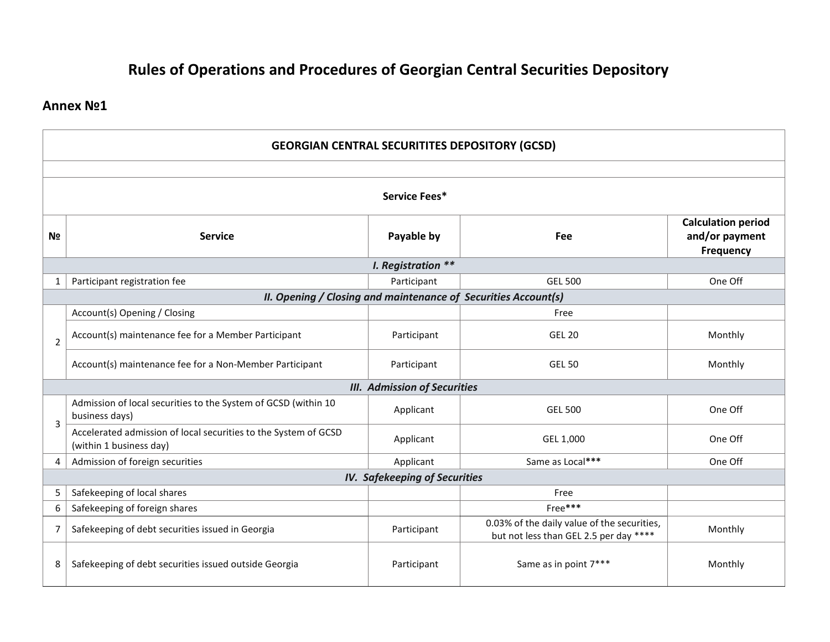# **Rules of Operations and Procedures of Georgian Central Securities Depository**

## **Annex №1**

| <b>GEORGIAN CENTRAL SECURITITES DEPOSITORY (GCSD)</b> |                                                                                            |                               |                                                                                       |         |  |  |  |
|-------------------------------------------------------|--------------------------------------------------------------------------------------------|-------------------------------|---------------------------------------------------------------------------------------|---------|--|--|--|
|                                                       |                                                                                            |                               |                                                                                       |         |  |  |  |
| Service Fees*                                         |                                                                                            |                               |                                                                                       |         |  |  |  |
| N <sub>2</sub>                                        | <b>Service</b>                                                                             | Payable by                    | Fee                                                                                   |         |  |  |  |
|                                                       | <b>Frequency</b><br>I. Registration **                                                     |                               |                                                                                       |         |  |  |  |
| 1                                                     | Participant registration fee                                                               | Participant                   | <b>GEL 500</b>                                                                        | One Off |  |  |  |
|                                                       | II. Opening / Closing and maintenance of Securities Account(s)                             |                               |                                                                                       |         |  |  |  |
|                                                       | Account(s) Opening / Closing                                                               |                               | Free                                                                                  |         |  |  |  |
| 2                                                     | Account(s) maintenance fee for a Member Participant                                        | Participant                   | <b>GEL 20</b>                                                                         | Monthly |  |  |  |
|                                                       | Account(s) maintenance fee for a Non-Member Participant                                    | Participant                   | <b>GEL 50</b>                                                                         | Monthly |  |  |  |
| <b>III. Admission of Securities</b>                   |                                                                                            |                               |                                                                                       |         |  |  |  |
| 3                                                     | Admission of local securities to the System of GCSD (within 10<br>business days)           | Applicant                     | <b>GEL 500</b>                                                                        | One Off |  |  |  |
|                                                       | Accelerated admission of local securities to the System of GCSD<br>(within 1 business day) | Applicant                     | GEL 1,000                                                                             | One Off |  |  |  |
| $\overline{4}$                                        | Admission of foreign securities                                                            | Same as Local***<br>Applicant |                                                                                       | One Off |  |  |  |
|                                                       | <b>IV. Safekeeping of Securities</b>                                                       |                               |                                                                                       |         |  |  |  |
| 5                                                     | Safekeeping of local shares                                                                |                               | Free                                                                                  |         |  |  |  |
| 6                                                     | Safekeeping of foreign shares                                                              |                               | Free***                                                                               |         |  |  |  |
| 7                                                     | Safekeeping of debt securities issued in Georgia                                           | Participant                   | 0.03% of the daily value of the securities,<br>but not less than GEL 2.5 per day **** | Monthly |  |  |  |
| 8                                                     | Safekeeping of debt securities issued outside Georgia                                      | Participant                   | Same as in point 7***                                                                 | Monthly |  |  |  |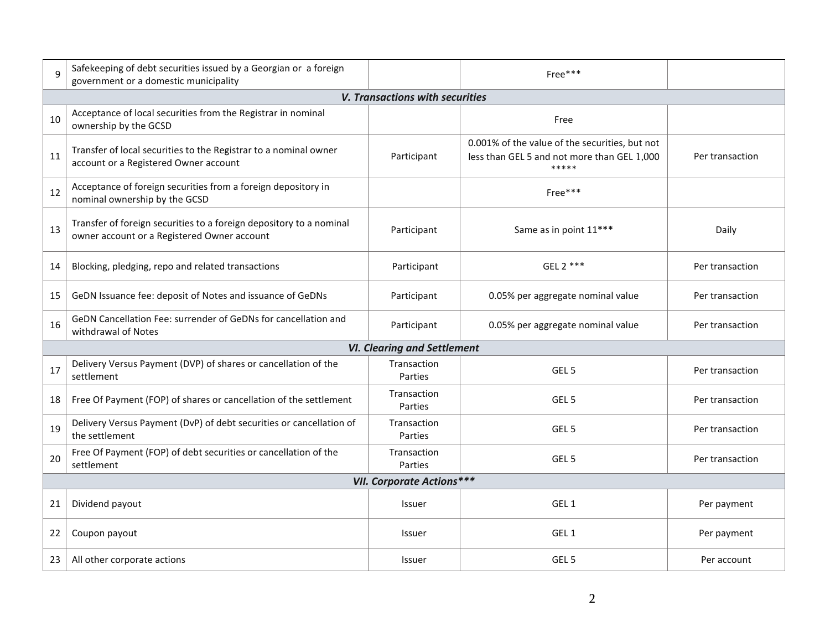| 9                                | Safekeeping of debt securities issued by a Georgian or a foreign<br>government or a domestic municipality          | Free***                            |                                                                                                        |                 |  |  |  |
|----------------------------------|--------------------------------------------------------------------------------------------------------------------|------------------------------------|--------------------------------------------------------------------------------------------------------|-----------------|--|--|--|
|                                  | V. Transactions with securities                                                                                    |                                    |                                                                                                        |                 |  |  |  |
| 10                               | Acceptance of local securities from the Registrar in nominal<br>ownership by the GCSD                              |                                    | Free                                                                                                   |                 |  |  |  |
| 11                               | Transfer of local securities to the Registrar to a nominal owner<br>account or a Registered Owner account          | Participant                        | 0.001% of the value of the securities, but not<br>less than GEL 5 and not more than GEL 1,000<br>***** | Per transaction |  |  |  |
| 12                               | Acceptance of foreign securities from a foreign depository in<br>nominal ownership by the GCSD                     |                                    | Free***                                                                                                |                 |  |  |  |
| 13                               | Transfer of foreign securities to a foreign depository to a nominal<br>owner account or a Registered Owner account | Participant                        | Same as in point 11***                                                                                 | Daily           |  |  |  |
| 14                               | Blocking, pledging, repo and related transactions                                                                  | Participant                        | GEL 2 ***                                                                                              | Per transaction |  |  |  |
| 15                               | GeDN Issuance fee: deposit of Notes and issuance of GeDNs                                                          | Participant                        | 0.05% per aggregate nominal value                                                                      | Per transaction |  |  |  |
| 16                               | GeDN Cancellation Fee: surrender of GeDNs for cancellation and<br>withdrawal of Notes                              | Participant                        | 0.05% per aggregate nominal value                                                                      | Per transaction |  |  |  |
|                                  |                                                                                                                    | <b>VI. Clearing and Settlement</b> |                                                                                                        |                 |  |  |  |
| 17                               | Delivery Versus Payment (DVP) of shares or cancellation of the<br>settlement                                       | Transaction<br>Parties             | GEL <sub>5</sub>                                                                                       | Per transaction |  |  |  |
| 18                               | Free Of Payment (FOP) of shares or cancellation of the settlement                                                  | Transaction<br>Parties             | GEL <sub>5</sub>                                                                                       | Per transaction |  |  |  |
| 19                               | Delivery Versus Payment (DvP) of debt securities or cancellation of<br>the settlement                              | Transaction<br>Parties             | GEL <sub>5</sub>                                                                                       | Per transaction |  |  |  |
| 20                               | Free Of Payment (FOP) of debt securities or cancellation of the<br>settlement                                      | Transaction<br>Parties             | GEL <sub>5</sub>                                                                                       | Per transaction |  |  |  |
| <b>VII. Corporate Actions***</b> |                                                                                                                    |                                    |                                                                                                        |                 |  |  |  |
| 21                               | Dividend payout                                                                                                    | Issuer                             | GEL <sub>1</sub>                                                                                       | Per payment     |  |  |  |
| 22                               | Coupon payout                                                                                                      | Issuer                             | GEL <sub>1</sub>                                                                                       | Per payment     |  |  |  |
| 23                               | All other corporate actions                                                                                        | <b>Issuer</b>                      | GEL <sub>5</sub>                                                                                       | Per account     |  |  |  |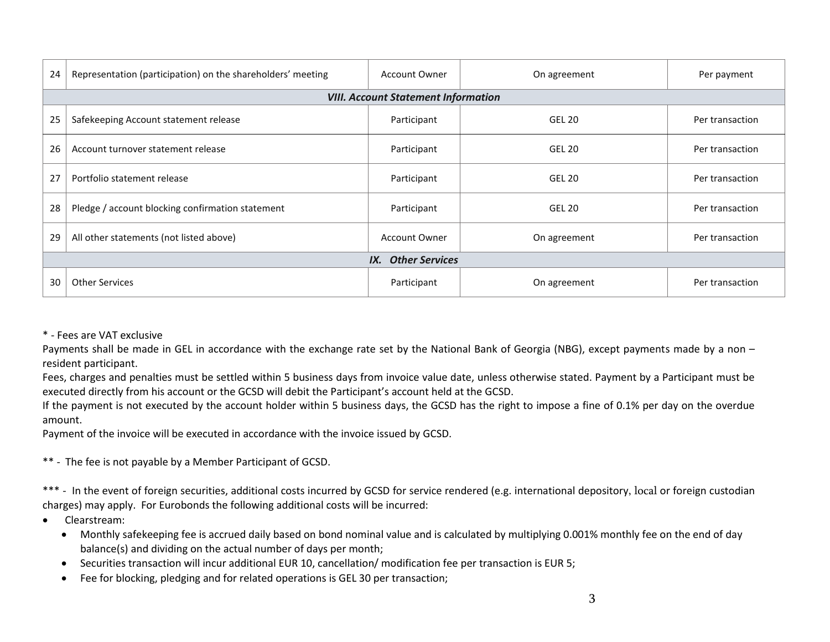| 24                        | Representation (participation) on the shareholders' meeting | <b>Account Owner</b>                 | On agreement  | Per payment     |  |  |  |
|---------------------------|-------------------------------------------------------------|--------------------------------------|---------------|-----------------|--|--|--|
|                           | <b>VIII. Account Statement Information</b>                  |                                      |               |                 |  |  |  |
| 25                        | Safekeeping Account statement release                       | Participant                          | <b>GEL 20</b> | Per transaction |  |  |  |
| 26                        | Account turnover statement release                          | Participant                          | <b>GEL 20</b> | Per transaction |  |  |  |
| 27                        | Portfolio statement release                                 | Participant                          | <b>GEL 20</b> | Per transaction |  |  |  |
| 28                        | Pledge / account blocking confirmation statement            | Participant                          | <b>GEL 20</b> | Per transaction |  |  |  |
| 29                        | All other statements (not listed above)                     | <b>Account Owner</b><br>On agreement |               | Per transaction |  |  |  |
| <b>IX.</b> Other Services |                                                             |                                      |               |                 |  |  |  |
| 30                        | <b>Other Services</b>                                       | Participant                          | On agreement  | Per transaction |  |  |  |

#### \* - Fees are VAT exclusive

Payments shall be made in GEL in accordance with the exchange rate set by the National Bank of Georgia (NBG), except payments made by a non – resident participant.

Fees, charges and penalties must be settled within 5 business days from invoice value date, unless otherwise stated. Payment by a Participant must be executed directly from his account or the GCSD will debit the Participant's account held at the GCSD.

If the payment is not executed by the account holder within 5 business days, the GCSD has the right to impose a fine of 0.1% per day on the overdue amount.

Payment of the invoice will be executed in accordance with the invoice issued by GCSD.

\*\* - The fee is not payable by a Member Participant of GCSD.

\*\*\* - In the event of foreign securities, additional costs incurred by GCSD for service rendered (e.g. international depository, local or foreign custodian charges) may apply. For Eurobonds the following additional costs will be incurred:

- Clearstream:
	- Monthly safekeeping fee is accrued daily based on bond nominal value and is calculated by multiplying 0.001% monthly fee on the end of day balance(s) and dividing on the actual number of days per month;
	- Securities transaction will incur additional EUR 10, cancellation/ modification fee per transaction is EUR 5;
	- Fee for blocking, pledging and for related operations is GEL 30 per transaction;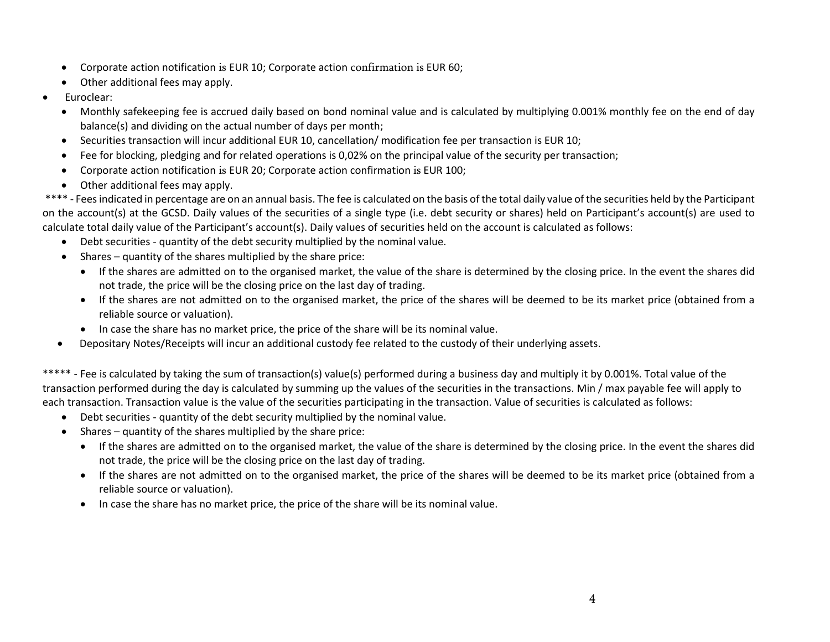- Corporate action notification is EUR 10; Corporate action confirmation is EUR 60;
- Other additional fees may apply.
- Euroclear:
	- Monthly safekeeping fee is accrued daily based on bond nominal value and is calculated by multiplying 0.001% monthly fee on the end of day balance(s) and dividing on the actual number of days per month;
	- Securities transaction will incur additional EUR 10, cancellation/ modification fee per transaction is EUR 10;
	- Fee for blocking, pledging and for related operations is 0,02% on the principal value of the security per transaction;
	- Corporate action notification is EUR 20; Corporate action confirmation is EUR 100;
	- Other additional fees may apply.

\*\*\*\* - Fees indicated in percentage are on an annual basis. The fee is calculated on the basis of the total daily value of the securities held by the Participant on the account(s) at the GCSD. Daily values of the securities of a single type (i.e. debt security or shares) held on Participant's account(s) are used to calculate total daily value of the Participant's account(s). Daily values of securities held on the account is calculated as follows:

- Debt securities quantity of the debt security multiplied by the nominal value.
- Shares quantity of the shares multiplied by the share price:
	- If the shares are admitted on to the organised market, the value of the share is determined by the closing price. In the event the shares did not trade, the price will be the closing price on the last day of trading.
	- If the shares are not admitted on to the organised market, the price of the shares will be deemed to be its market price (obtained from a reliable source or valuation).
	- In case the share has no market price, the price of the share will be its nominal value.
- Depositary Notes/Receipts will incur an additional custody fee related to the custody of their underlying assets.

\*\*\*\*\* - Fee is calculated by taking the sum of transaction(s) value(s) performed during a business day and multiply it by 0.001%. Total value of the transaction performed during the day is calculated by summing up the values of the securities in the transactions. Min / max payable fee will apply to each transaction. Transaction value is the value of the securities participating in the transaction. Value of securities is calculated as follows:

- Debt securities quantity of the debt security multiplied by the nominal value.
- Shares quantity of the shares multiplied by the share price:
	- If the shares are admitted on to the organised market, the value of the share is determined by the closing price. In the event the shares did not trade, the price will be the closing price on the last day of trading.
	- If the shares are not admitted on to the organised market, the price of the shares will be deemed to be its market price (obtained from a reliable source or valuation).
	- In case the share has no market price, the price of the share will be its nominal value.